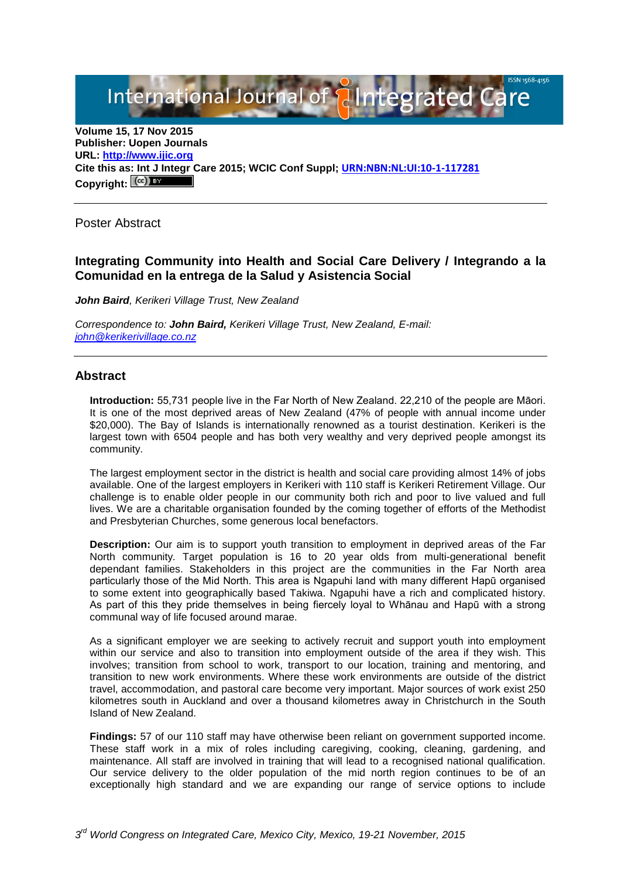International Journal of **Alntegrated Care** 

**Volume 15, 17 Nov 2015 Publisher: Uopen Journals URL: [http://www.ijic.org](http://www.ijic.org/) Cite this as: Int J Integr Care 2015; WCIC Conf Suppl; [URN:NBN:NL:UI:10-1-117281](http://persistent-identifier.nl/?identifier=URN:NBN:NL:UI:10-1-117281)** Copyright:  $(cc)$ 

Poster Abstract

# **Integrating Community into Health and Social Care Delivery / Integrando a la Comunidad en la entrega de la Salud y Asistencia Social**

*John Baird, Kerikeri Village Trust, New Zealand* 

*Correspondence to: John Baird, Kerikeri Village Trust, New Zealand, E-mail: [john@kerikerivillage.co.nz](mailto:john@kerikerivillage.co.nz)*

### **Abstract**

**Introduction:** 55,731 people live in the Far North of New Zealand. 22,210 of the people are Māori. It is one of the most deprived areas of New Zealand (47% of people with annual income under \$20,000). The Bay of Islands is internationally renowned as a tourist destination. Kerikeri is the largest town with 6504 people and has both very wealthy and very deprived people amongst its community.

The largest employment sector in the district is health and social care providing almost 14% of jobs available. One of the largest employers in Kerikeri with 110 staff is Kerikeri Retirement Village. Our challenge is to enable older people in our community both rich and poor to live valued and full lives. We are a charitable organisation founded by the coming together of efforts of the Methodist and Presbyterian Churches, some generous local benefactors.

**Description:** Our aim is to support youth transition to employment in deprived areas of the Far North community. Target population is 16 to 20 year olds from multi-generational benefit dependant families. Stakeholders in this project are the communities in the Far North area particularly those of the Mid North. This area is Ngapuhi land with many different Hapū organised to some extent into geographically based Takiwa. Ngapuhi have a rich and complicated history. As part of this they pride themselves in being fiercely loyal to Whānau and Hapū with a strong communal way of life focused around marae.

As a significant employer we are seeking to actively recruit and support youth into employment within our service and also to transition into employment outside of the area if they wish. This involves; transition from school to work, transport to our location, training and mentoring, and transition to new work environments. Where these work environments are outside of the district travel, accommodation, and pastoral care become very important. Major sources of work exist 250 kilometres south in Auckland and over a thousand kilometres away in Christchurch in the South Island of New Zealand.

**Findings:** 57 of our 110 staff may have otherwise been reliant on government supported income. These staff work in a mix of roles including caregiving, cooking, cleaning, gardening, and maintenance. All staff are involved in training that will lead to a recognised national qualification. Our service delivery to the older population of the mid north region continues to be of an exceptionally high standard and we are expanding our range of service options to include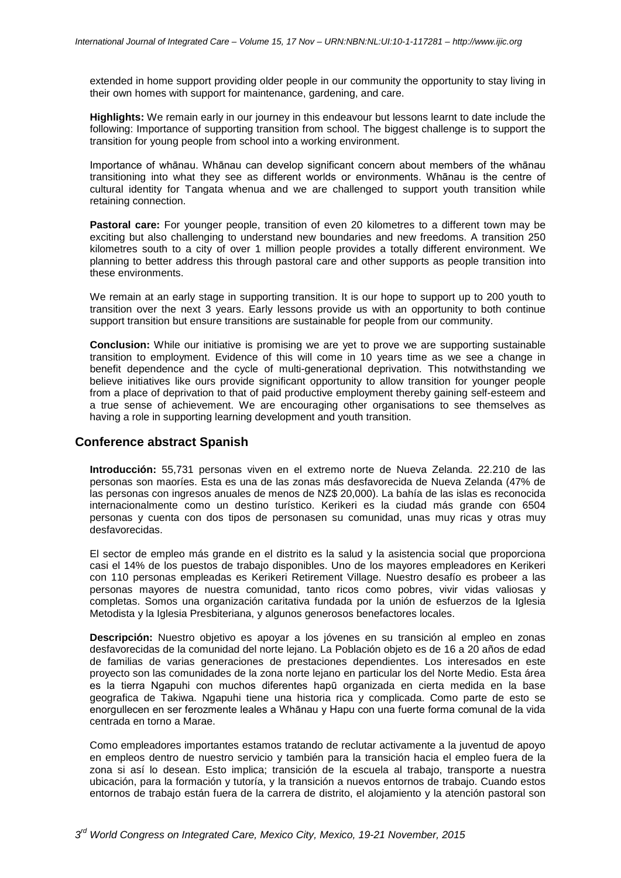extended in home support providing older people in our community the opportunity to stay living in their own homes with support for maintenance, gardening, and care.

**Highlights:** We remain early in our journey in this endeavour but lessons learnt to date include the following: Importance of supporting transition from school. The biggest challenge is to support the transition for young people from school into a working environment.

Importance of whānau. Whānau can develop significant concern about members of the whānau transitioning into what they see as different worlds or environments. Whānau is the centre of cultural identity for Tangata whenua and we are challenged to support youth transition while retaining connection.

**Pastoral care:** For younger people, transition of even 20 kilometres to a different town may be exciting but also challenging to understand new boundaries and new freedoms. A transition 250 kilometres south to a city of over 1 million people provides a totally different environment. We planning to better address this through pastoral care and other supports as people transition into these environments.

We remain at an early stage in supporting transition. It is our hope to support up to 200 youth to transition over the next 3 years. Early lessons provide us with an opportunity to both continue support transition but ensure transitions are sustainable for people from our community.

**Conclusion:** While our initiative is promising we are yet to prove we are supporting sustainable transition to employment. Evidence of this will come in 10 years time as we see a change in benefit dependence and the cycle of multi-generational deprivation. This notwithstanding we believe initiatives like ours provide significant opportunity to allow transition for younger people from a place of deprivation to that of paid productive employment thereby gaining self-esteem and a true sense of achievement. We are encouraging other organisations to see themselves as having a role in supporting learning development and youth transition.

#### **Conference abstract Spanish**

**Introducción:** 55,731 personas viven en el extremo norte de Nueva Zelanda. 22.210 de las personas son maoríes. Esta es una de las zonas más desfavorecida de Nueva Zelanda (47% de las personas con ingresos anuales de menos de NZ\$ 20,000). La bahía de las islas es reconocida internacionalmente como un destino turístico. Kerikeri es la ciudad más grande con 6504 personas y cuenta con dos tipos de personasen su comunidad, unas muy ricas y otras muy desfavorecidas.

El sector de empleo más grande en el distrito es la salud y la asistencia social que proporciona casi el 14% de los puestos de trabajo disponibles. Uno de los mayores empleadores en Kerikeri con 110 personas empleadas es Kerikeri Retirement Village. Nuestro desafío es probeer a las personas mayores de nuestra comunidad, tanto ricos como pobres, vivir vidas valiosas y completas. Somos una organización caritativa fundada por la unión de esfuerzos de la Iglesia Metodista y la Iglesia Presbiteriana, y algunos generosos benefactores locales.

**Descripción:** Nuestro objetivo es apoyar a los jóvenes en su transición al empleo en zonas desfavorecidas de la comunidad del norte lejano. La Población objeto es de 16 a 20 años de edad de familias de varias generaciones de prestaciones dependientes. Los interesados en este proyecto son las comunidades de la zona norte lejano en particular los del Norte Medio. Esta área es la tierra Ngapuhi con muchos diferentes hapū organizada en cierta medida en la base geografica de Takiwa. Ngapuhi tiene una historia rica y complicada. Como parte de esto se enorgullecen en ser ferozmente leales a Whānau y Hapu con una fuerte forma comunal de la vida centrada en torno a Marae.

Como empleadores importantes estamos tratando de reclutar activamente a la juventud de apoyo en empleos dentro de nuestro servicio y también para la transición hacia el empleo fuera de la zona si así lo desean. Esto implica; transición de la escuela al trabajo, transporte a nuestra ubicación, para la formación y tutoría, y la transición a nuevos entornos de trabajo. Cuando estos entornos de trabajo están fuera de la carrera de distrito, el alojamiento y la atención pastoral son